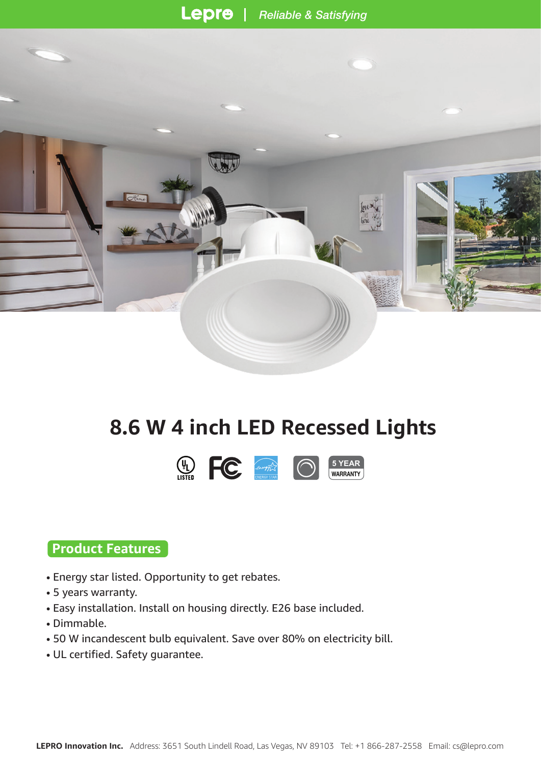

# **8.6 W 4 inch LED Recessed Lights**



## **Product Features**

- Energy star listed. Opportunity to get rebates.
- 5 years warranty.
- Easy installation. Install on housing directly. E26 base included.
- Dimmable.
- 50 W incandescent bulb equivalent. Save over 80% on electricity bill.
- UL certified. Safety guarantee.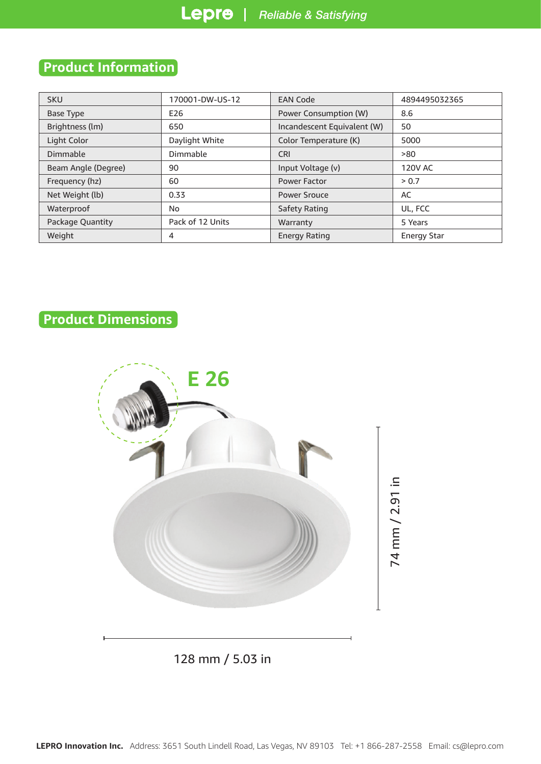## **Product Information**

| <b>SKU</b>          | 170001-DW-US-12  | <b>EAN Code</b>             | 4894495032365      |  |
|---------------------|------------------|-----------------------------|--------------------|--|
| Base Type           | E26              | Power Consumption (W)       | 8.6                |  |
| Brightness (lm)     | 650              | Incandescent Equivalent (W) | 50                 |  |
| Light Color         | Daylight White   | Color Temperature (K)       | 5000               |  |
| Dimmable            | Dimmable         | <b>CRI</b>                  | >80                |  |
| Beam Angle (Degree) | 90               | Input Voltage (v)           | <b>120V AC</b>     |  |
| Frequency (hz)      | 60               | <b>Power Factor</b>         | > 0.7              |  |
| Net Weight (lb)     | 0.33             | Power Srouce                | AC                 |  |
| Waterproof          | No.              | Safety Rating               | UL, FCC            |  |
| Package Quantity    | Pack of 12 Units | Warranty                    | 5 Years            |  |
| Weight              | 4                | <b>Energy Rating</b>        | <b>Energy Star</b> |  |

## **Product Dimensions**



128 mm / 5.03 in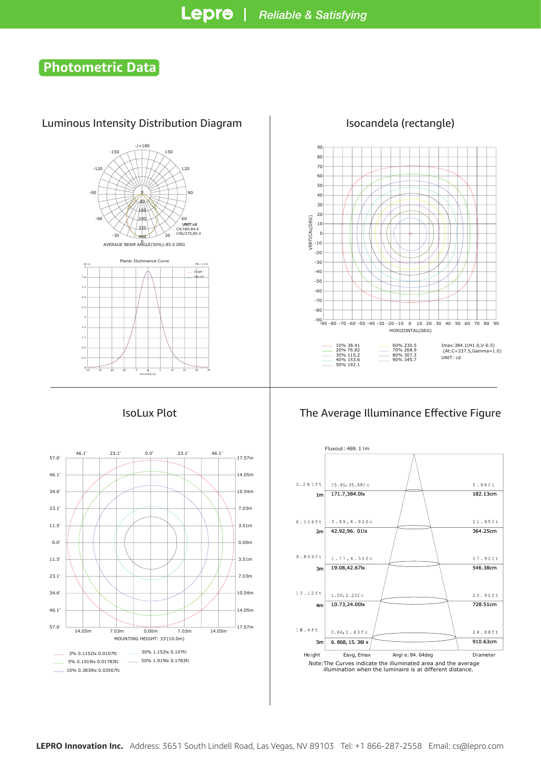## **Photometric Data**

### Luminous Intensity Distribution Diagram | Isocandela (rectangle)









#### IsoLux Plot The Average Illuminance Effective Figure